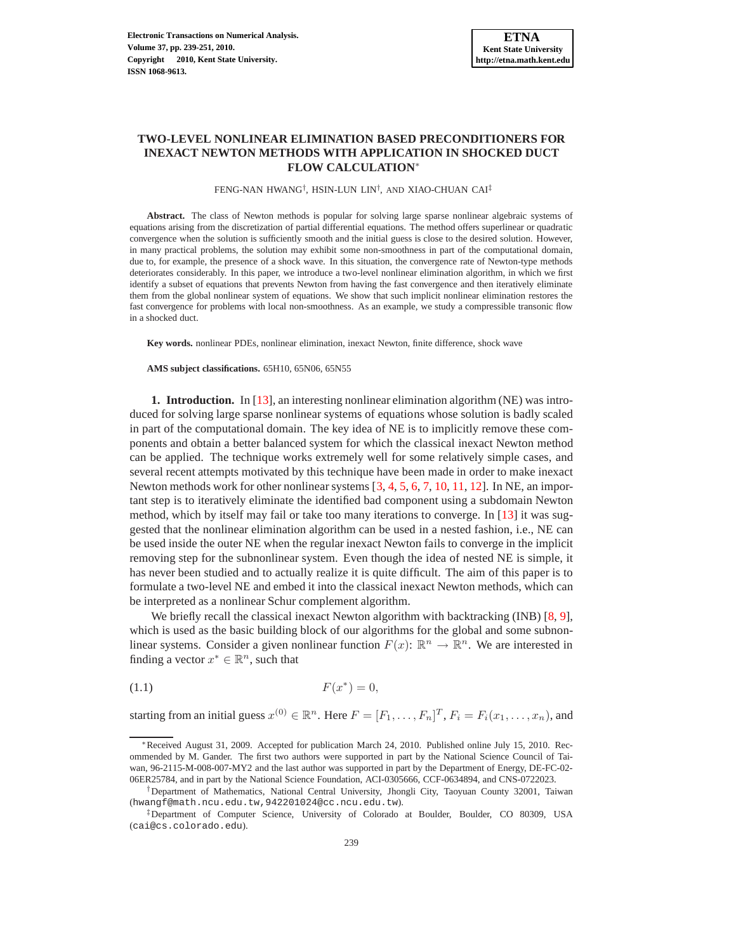## **TWO-LEVEL NONLINEAR ELIMINATION BASED PRECONDITIONERS FOR INEXACT NEWTON METHODS WITH APPLICATION IN SHOCKED DUCT FLOW CALCULATION**<sup>∗</sup>

FENG-NAN HWANG† , HSIN-LUN LIN† , AND XIAO-CHUAN CAI‡

Abstract. The class of Newton methods is popular for solving large sparse nonlinear algebraic systems of equations arising from the discretization of partial differential equations. The method offers superlinear or quadratic convergence when the solution is sufficiently smooth and the initial guess is close to the desired solution. However, in many practical problems, the solution may exhibit some non-smoothness in part of the computational domain, due to, for example, the presence of a shock wave. In this situation, the convergence rate of Newton-type methods deteriorates considerably. In this paper, we introduce a two-level nonlinear elimination algorithm, in which we first identify a subset of equations that prevents Newton from having the fast convergence and then iteratively eliminate them from the global nonlinear system of equations. We show that such implicit nonlinear elimination restores the fast convergence for problems with local non-smoothness. As an example, we study a compressible transonic flow in a shocked duct.

**Key words.** nonlinear PDEs, nonlinear elimination, inexact Newton, finite difference, shock wave

**AMS subject classifications.** 65H10, 65N06, 65N55

**1. Introduction.** In [\[13\]](#page-12-0), an interesting nonlinear elimination algorithm (NE) was introduced for solving large sparse nonlinear systems of equations whose solution is badly scaled in part of the computational domain. The key idea of NE is to implicitly remove these components and obtain a better balanced system for which the classical inexact Newton method can be applied. The technique works extremely well for some relatively simple cases, and several recent attempts motivated by this technique have been made in order to make inexact Newton methods work for other nonlinear systems [\[3,](#page-12-1) [4,](#page-12-2) [5,](#page-12-3) [6,](#page-12-4) [7,](#page-12-5) [10,](#page-12-6) [11,](#page-12-7) [12\]](#page-12-8). In NE, an important step is to iteratively eliminate the identified bad component using a subdomain Newton method, which by itself may fail or take too many iterations to converge. In [\[13\]](#page-12-0) it was suggested that the nonlinear elimination algorithm can be used in a nested fashion, i.e., NE can be used inside the outer NE when the regular inexact Newton fails to converge in the implicit removing step for the subnonlinear system. Even though the idea of nested NE is simple, it has never been studied and to actually realize it is quite difficult. The aim of this paper is to formulate a two-level NE and embed it into the classical inexact Newton methods, which can be interpreted as a nonlinear Schur complement algorithm.

We briefly recall the classical inexact Newton algorithm with backtracking (INB) [\[8,](#page-12-9) [9\]](#page-12-10), which is used as the basic building block of our algorithms for the global and some subnonlinear systems. Consider a given nonlinear function  $F(x)$ :  $\mathbb{R}^n \to \mathbb{R}^n$ . We are interested in finding a vector  $x^* \in \mathbb{R}^n$ , such that

<span id="page-0-0"></span>
$$
F(x^*) = 0,
$$

starting from an initial guess  $x^{(0)} \in \mathbb{R}^n$ . Here  $F = [F_1, \ldots, F_n]^T$ ,  $F_i = F_i(x_1, \ldots, x_n)$ , and

<sup>∗</sup>Received August 31, 2009. Accepted for publication March 24, 2010. Published online July 15, 2010. Recommended by M. Gander. The first two authors were supported in part by the National Science Council of Taiwan, 96-2115-M-008-007-MY2 and the last author was supported in part by the Department of Energy, DE-FC-02- 06ER25784, and in part by the National Science Foundation, ACI-0305666, CCF-0634894, and CNS-0722023.

<sup>†</sup>Department of Mathematics, National Central University, Jhongli City, Taoyuan County 32001, Taiwan (hwangf@math.ncu.edu.tw,942201024@cc.ncu.edu.tw).

<sup>‡</sup>Department of Computer Science, University of Colorado at Boulder, Boulder, CO 80309, USA (cai@cs.colorado.edu).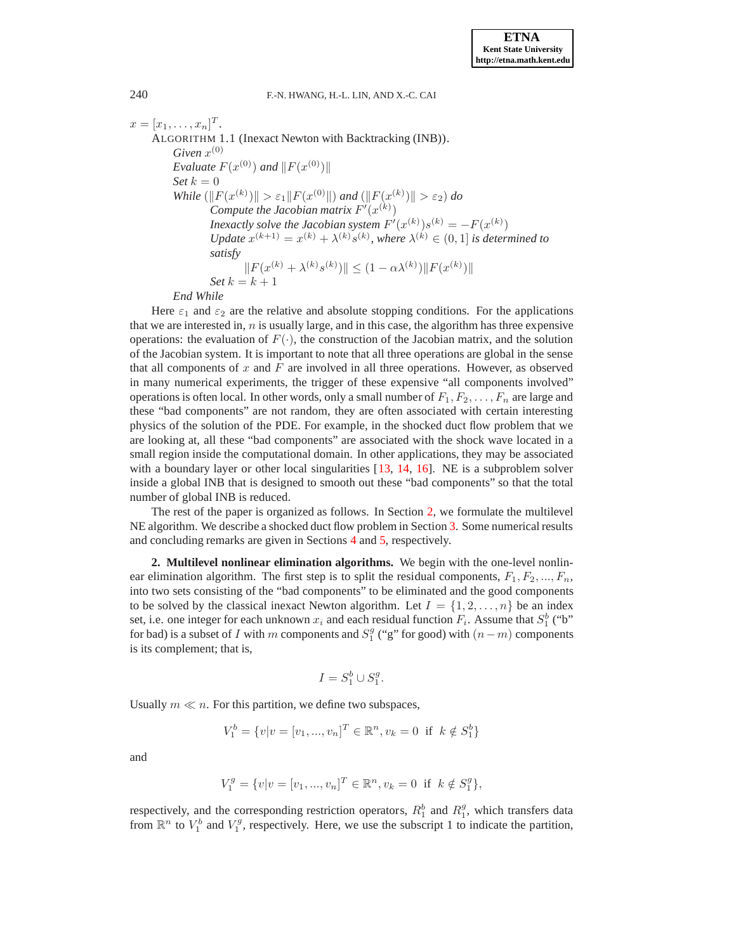<span id="page-1-1"></span>
$$
x = [x_1, ..., x_n]^T.
$$
  
\nALGORITHM 1.1 (Inexact Newton with Backtracking (INB)).  
\nGiven  $x^{(0)}$   
\nEvaluate  $F(x^{(0)})$  and  $||F(x^{(0)})||$   
\nSet  $k = 0$   
\nWhile  $(||F(x^{(k)})|| > \varepsilon_1 ||F(x^{(0)}||)$  and  $(||F(x^{(k)})|| > \varepsilon_2)$  do  
\nCompute the Jacobian matrix  $F'(x^{(k)})$   
\nInexactly solve the Jacobian system  $F'(x^{(k)})s^{(k)} = -F(x^{(k)})$   
\nUpdate  $x^{(k+1)} = x^{(k)} + \lambda^{(k)}s^{(k)}$ , where  $\lambda^{(k)} \in (0, 1]$  is determined to  
\nsatisfy  
\n $||F(x^{(k)} + \lambda^{(k)}s^{(k)})|| \leq (1 - \alpha \lambda^{(k)}) ||F(x^{(k)})||$   
\nSet  $k = k + 1$   
\nEnd While

*End While*

Here  $\varepsilon_1$  and  $\varepsilon_2$  are the relative and absolute stopping conditions. For the applications that we are interested in,  $n$  is usually large, and in this case, the algorithm has three expensive operations: the evaluation of  $F(\cdot)$ , the construction of the Jacobian matrix, and the solution of the Jacobian system. It is important to note that all three operations are global in the sense that all components of  $x$  and  $F$  are involved in all three operations. However, as observed in many numerical experiments, the trigger of these expensive "all components involved" operations is often local. In other words, only a small number of  $F_1, F_2, \ldots, F_n$  are large and these "bad components" are not random, they are often associated with certain interesting physics of the solution of the PDE. For example, in the shocked duct flow problem that we are looking at, all these "bad components" are associated with the shock wave located in a small region inside the computational domain. In other applications, they may be associated with a boundary layer or other local singularities [\[13,](#page-12-0) [14,](#page-12-11) [16\]](#page-12-12). NE is a subproblem solver inside a global INB that is designed to smooth out these "bad components" so that the total number of global INB is reduced.

The rest of the paper is organized as follows. In Section [2,](#page-1-0) we formulate the multilevel NE algorithm. We describe a shocked duct flow problem in Section [3.](#page-3-0) Some numerical results and concluding remarks are given in Sections [4](#page-5-0) and [5,](#page-10-0) respectively.

<span id="page-1-0"></span>**2. Multilevel nonlinear elimination algorithms.** We begin with the one-level nonlinear elimination algorithm. The first step is to split the residual components,  $F_1, F_2, ..., F_n$ , into two sets consisting of the "bad components" to be eliminated and the good components to be solved by the classical inexact Newton algorithm. Let  $I = \{1, 2, \ldots, n\}$  be an index set, i.e. one integer for each unknown  $x_i$  and each residual function  $F_i$ . Assume that  $S_1^b$  ("b" for bad) is a subset of I with m components and  $S_1^g$  ("g" for good) with  $(n-m)$  components is its complement; that is,

$$
I = S_1^b \cup S_1^g.
$$

Usually  $m \ll n$ . For this partition, we define two subspaces,

$$
V_1^b = \{v | v = [v_1, ..., v_n]^T \in \mathbb{R}^n, v_k = 0 \text{ if } k \notin S_1^b\}
$$

and

$$
V_1^g = \{v|v = [v_1, ..., v_n]^T \in \mathbb{R}^n, v_k = 0 \text{ if } k \notin S_1^g\},\
$$

respectively, and the corresponding restriction operators,  $R_1^b$  and  $R_1^g$ , which transfers data from  $\mathbb{R}^n$  to  $V_1^b$  and  $V_1^g$ , respectively. Here, we use the subscript 1 to indicate the partition,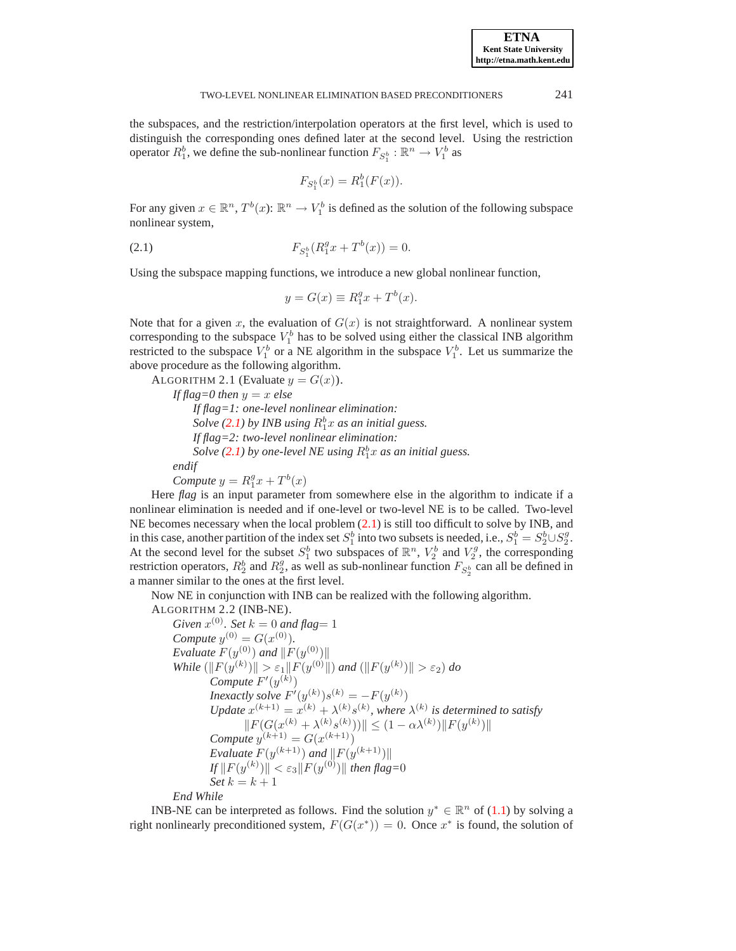the subspaces, and the restriction/interpolation operators at the first level, which is used to distinguish the corresponding ones defined later at the second level. Using the restriction operator  $R_1^b$ , we define the sub-nonlinear function  $F_{S_1^b} : \mathbb{R}^n \to V_1^b$  as

$$
F_{S_1^b}(x) = R_1^b(F(x)).
$$

For any given  $x \in \mathbb{R}^n$ ,  $T^b(x)$ :  $\mathbb{R}^n \to V_1^b$  is defined as the solution of the following subspace nonlinear system,

<span id="page-2-0"></span>(2.1) 
$$
F_{S_1^b}(R_1^gx + T^b(x)) = 0.
$$

Using the subspace mapping functions, we introduce a new global nonlinear function,

$$
y = G(x) \equiv R_1^g x + T^b(x).
$$

Note that for a given x, the evaluation of  $G(x)$  is not straightforward. A nonlinear system corresponding to the subspace  $V_1^b$  has to be solved using either the classical INB algorithm restricted to the subspace  $V_1^b$  or a NE algorithm in the subspace  $V_1^b$ . Let us summarize the above procedure as the following algorithm.

ALGORITHM 2.1 (Evaluate  $y = G(x)$ ). *If flag*=0 *then*  $y = x$  *else If flag=1: one-level nonlinear elimination: Solve* [\(2.1\)](#page-2-0) by *INB* using  $R_1^b x$  *as an initial guess. If flag=2: two-level nonlinear elimination: Solve* [\(2.1\)](#page-2-0) by one-level NE using  $R_1^b x$  as an initial guess. *endif*

*Compute*  $y = R_1^gx + T^b(x)$ 

Here *flag* is an input parameter from somewhere else in the algorithm to indicate if a nonlinear elimination is needed and if one-level or two-level NE is to be called. Two-level NE becomes necessary when the local problem [\(2.1\)](#page-2-0) is still too difficult to solve by INB, and in this case, another partition of the index set  $S_1^b$  into two subsets is needed, i.e.,  $S_1^b = S_2^b \cup S_2^g$ . At the second level for the subset  $S_1^b$  two subspaces of  $\mathbb{R}^n$ ,  $V_2^b$  and  $V_2^g$ , the corresponding restriction operators,  $R_2^b$  and  $R_2^g$ , as well as sub-nonlinear function  $F_{S_2^b}$  can all be defined in a manner similar to the ones at the first level.

Now NE in conjunction with INB can be realized with the following algorithm.

ALGORITHM 2.2 (INB-NE).

<span id="page-2-1"></span>*Given*  $x^{(0)}$ *. Set*  $k = 0$  *and flag* = 1 *Compute*  $y^{(0)} = G(x^{(0)})$ *. Evaluate*  $F(y^{(0)})$  and  $\|F(y^{(0)})\|$  $\text{While } (\|F(y^{(k)})\| > \varepsilon_1 \|F(y^{(0)}\|) \text{ and } (\|F(y^{(k)})\| > \varepsilon_2) \text{ do}$  $Compute F'(y^{(k)})$ *Inexactly solve*  $F'(y^{(k)})s^{(k)} = -F(y^{(k)})$ Update  $x^{(k+1)} = x^{(k)} + \lambda^{(k)} s^{(k)}$ , where  $\lambda^{(k)}$  is determined to satisfy  $||F(G(x^{(k)} + \lambda^{(k)} s^{(k)}))|| \leq (1 - \alpha \lambda^{(k)}) ||F(y^{(k)})||$ *Compute*  $y^{(k+1)} = G(x^{(k+1)})$ *Evaluate*  $F(y^{(k+1)})$  *and*  $||F(y^{(k+1)})||$  $\|f\|F(y^{(k)})\| < \varepsilon_3 \|F(y^{(0)})\|$  then flag= $0$ *Set*  $k = k + 1$ 

*End While*

INB-NE can be interpreted as follows. Find the solution  $y^* \in \mathbb{R}^n$  of [\(1.1\)](#page-0-0) by solving a right nonlinearly preconditioned system,  $F(G(x^*)) = 0$ . Once  $x^*$  is found, the solution of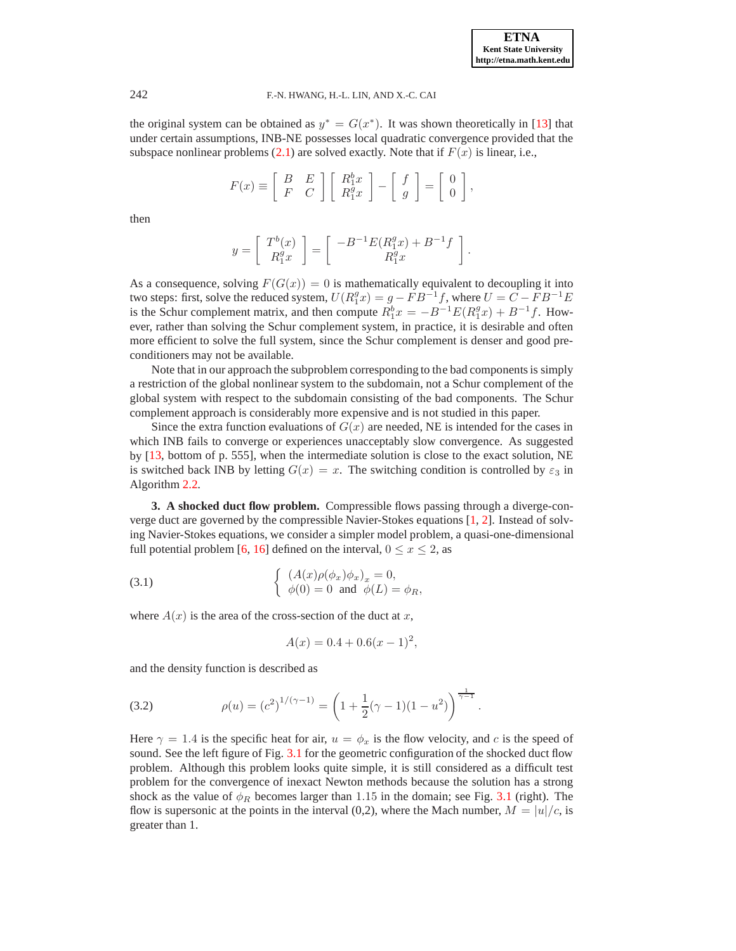### 242 F.-N. HWANG, H.-L. LIN, AND X.-C. CAI

the original system can be obtained as  $y^* = G(x^*)$ . It was shown theoretically in [\[13\]](#page-12-0) that under certain assumptions, INB-NE possesses local quadratic convergence provided that the subspace nonlinear problems [\(2.1\)](#page-2-0) are solved exactly. Note that if  $F(x)$  is linear, i.e.,

$$
F(x) \equiv \begin{bmatrix} B & E \\ F & C \end{bmatrix} \begin{bmatrix} R_1^b x \\ R_1^g x \end{bmatrix} - \begin{bmatrix} f \\ g \end{bmatrix} = \begin{bmatrix} 0 \\ 0 \end{bmatrix},
$$

then

$$
y=\left[\begin{array}{c}T^b(x)\\R^g_1x\end{array}\right]=\left[\begin{array}{c}-B^{-1}E(R^g_1x)+B^{-1}f\\R^g_1x\end{array}\right].
$$

As a consequence, solving  $F(G(x)) = 0$  is mathematically equivalent to decoupling it into two steps: first, solve the reduced system,  $U(R_1^gx) = g - FB^{-1}f$ , where  $U = C - FB^{-1}E$ is the Schur complement matrix, and then compute  $R_1^b x = -B^{-1} E(R_1^g x) + B^{-1} f$ . However, rather than solving the Schur complement system, in practice, it is desirable and often more efficient to solve the full system, since the Schur complement is denser and good preconditioners may not be available.

Note that in our approach the subproblem corresponding to the bad components is simply a restriction of the global nonlinear system to the subdomain, not a Schur complement of the global system with respect to the subdomain consisting of the bad components. The Schur complement approach is considerably more expensive and is not studied in this paper.

Since the extra function evaluations of  $G(x)$  are needed, NE is intended for the cases in which INB fails to converge or experiences unacceptably slow convergence. As suggested by [\[13,](#page-12-0) bottom of p. 555], when the intermediate solution is close to the exact solution, NE is switched back INB by letting  $G(x) = x$ . The switching condition is controlled by  $\varepsilon_3$  in Algorithm [2.2.](#page-2-1)

<span id="page-3-0"></span>**3. A shocked duct flow problem.** Compressible flows passing through a diverge-converge duct are governed by the compressible Navier-Stokes equations [\[1,](#page-12-13) [2\]](#page-12-14). Instead of solving Navier-Stokes equations, we consider a simpler model problem, a quasi-one-dimensional full potential problem [\[6,](#page-12-4) [16\]](#page-12-12) defined on the interval,  $0 \le x \le 2$ , as

<span id="page-3-1"></span>(3.1) 
$$
\begin{cases} (A(x)\rho(\phi_x)\phi_x)_x = 0, \\ \phi(0) = 0 \text{ and } \phi(L) = \phi_R, \end{cases}
$$

where  $A(x)$  is the area of the cross-section of the duct at x,

$$
A(x) = 0.4 + 0.6(x - 1)^2,
$$

and the density function is described as

<span id="page-3-2"></span>(3.2) 
$$
\rho(u) = (c^2)^{1/(\gamma - 1)} = \left(1 + \frac{1}{2}(\gamma - 1)(1 - u^2)\right)^{\frac{1}{\gamma - 1}}.
$$

Here  $\gamma = 1.4$  is the specific heat for air,  $u = \phi_x$  is the flow velocity, and c is the speed of sound. See the left figure of Fig. [3.1](#page-4-0) for the geometric configuration of the shocked duct flow problem. Although this problem looks quite simple, it is still considered as a difficult test problem for the convergence of inexact Newton methods because the solution has a strong shock as the value of  $\phi_R$  becomes larger than 1.15 in the domain; see Fig. [3.1](#page-4-0) (right). The flow is supersonic at the points in the interval (0,2), where the Mach number,  $M = |u|/c$ , is greater than 1.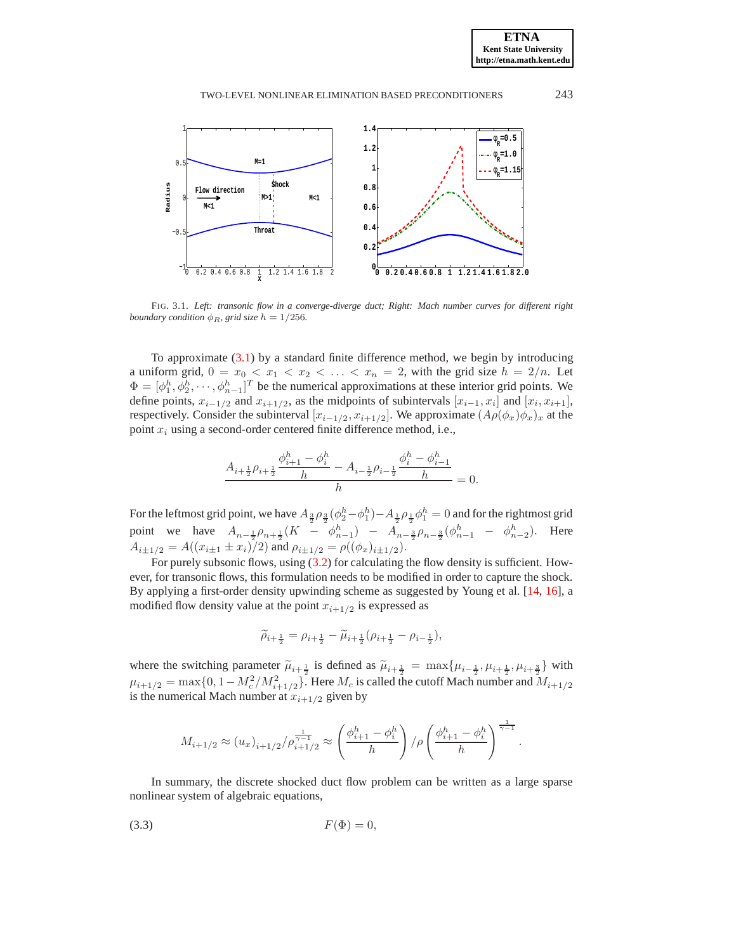

<span id="page-4-0"></span>FIG. 3.1. *Left: transonic flow in a converge-diverge duct; Right: Mach number curves for different right boundary condition*  $\phi_R$ *, grid size*  $h = 1/256$ *.* 

To approximate [\(3.1\)](#page-3-1) by a standard finite difference method, we begin by introducing a uniform grid,  $0 = x_0 < x_1 < x_2 < \ldots < x_n = 2$ , with the grid size  $h = 2/n$ . Let  $\Phi = [\phi_1^h, \phi_2^h, \cdots, \phi_{n-1}^h]^T$  be the numerical approximations at these interior grid points. We define points,  $x_{i-1/2}$  and  $x_{i+1/2}$ , as the midpoints of subintervals  $[x_{i-1}, x_i]$  and  $[x_i, x_{i+1}]$ , respectively. Consider the subinterval  $[x_{i-1/2}, x_{i+1/2}]$ . We approximate  $(A\rho(\phi_x)\phi_x)_x$  at the point  $x_i$  using a second-order centered finite difference method, i.e.,

$$
\frac{A_{i+\frac{1}{2}}\rho_{i+\frac{1}{2}}\frac{\phi_{i+1}^h-\phi_{i}^h}{h}-A_{i-\frac{1}{2}}\rho_{i-\frac{1}{2}}\frac{\phi_{i}^h-\phi_{i-1}^h}{h}}{h}=
$$

= 0.

For the leftmost grid point, we have  $A_{\frac{3}{2}}\rho_{\frac{3}{2}}(\phi_2^h-\phi_1^h)-A_{\frac{1}{2}}\rho_{\frac{1}{2}}\phi_1^h=0$  and for the rightmost grid point we have  $A_{n-\frac{1}{2}}\rho_{n+\frac{1}{2}}(K - \phi_{n-1}^h) - A_{n-\frac{3}{2}}\rho_{n-\frac{3}{2}}(\phi_{n-1}^h - \phi_{n-2}^h)$ . Here  $A_{i\pm1/2} = A((x_{i\pm1} \pm x_i)/2)$  and  $\rho_{i\pm1/2} = \rho((\phi_x)_{i\pm1/2})$ .

For purely subsonic flows, using [\(3.2\)](#page-3-2) for calculating the flow density is sufficient. However, for transonic flows, this formulation needs to be modified in order to capture the shock. By applying a first-order density upwinding scheme as suggested by Young et al. [\[14,](#page-12-11) [16\]](#page-12-12), a modified flow density value at the point  $x_{i+1/2}$  is expressed as

$$
\widetilde{\rho}_{i+\frac{1}{2}}=\rho_{i+\frac{1}{2}}-\widetilde{\mu}_{i+\frac{1}{2}}\big(\rho_{i+\frac{1}{2}}-\rho_{i-\frac{1}{2}}\big),
$$

where the switching parameter  $\tilde{\mu}_{i+\frac{1}{2}}$  is defined as  $\tilde{\mu}_{i+\frac{1}{2}} = \max\{\mu_{i-\frac{1}{2}}, \mu_{i+\frac{1}{2}}, \mu_{i+\frac{3}{2}}\}$  with  $\mu_{i+1/2} = \max\{0, 1 - M_c^2/M_{i+1/2}^2\}$ . Here  $M_c$  is called the cutoff Mach number and  $M_{i+1/2}$ is the numerical Mach number at  $x_{i+1/2}$  given by

$$
M_{i+1/2} \approx (u_x)_{i+1/2}/\rho_{i+1/2}^{\frac{1}{\gamma-1}} \approx \left(\frac{\phi_{i+1}^h - \phi_i^h}{h}\right)/\rho \left(\frac{\phi_{i+1}^h - \phi_i^h}{h}\right)^{\frac{1}{\gamma-1}}.
$$

In summary, the discrete shocked duct flow problem can be written as a large sparse nonlinear system of algebraic equations,

<span id="page-4-1"></span>
$$
(3.3) \tF(\Phi) = 0,
$$

**ETNA Kent State University http://etna.math.kent.edu**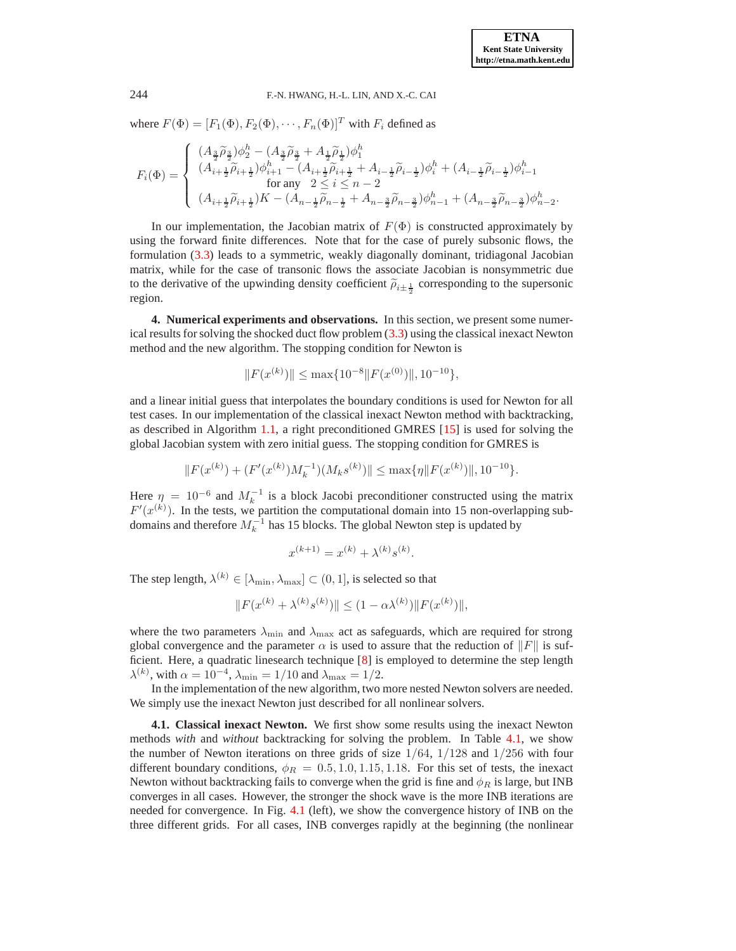### 244 F.-N. HWANG, H.-L. LIN, AND X.-C. CAI

where  $F(\Phi) = [F_1(\Phi), F_2(\Phi), \cdots, F_n(\Phi)]^T$  with  $F_i$  defined as

$$
F_i(\Phi)=\left\{\begin{array}{l} (A_{\frac{3}{2}}\widetilde{\rho}_{\frac{3}{2}})\phi_2^h-(A_{\frac{3}{2}}\widetilde{\rho}_{\frac{3}{2}}+A_{\frac{1}{2}}\widetilde{\rho}_{\frac{1}{2}})\phi_1^h\\ (A_{i+\frac{1}{2}}\widetilde{\rho}_{i+\frac{1}{2}})\phi_{i+1}^h-(A_{i+\frac{1}{2}}\widetilde{\rho}_{i+\frac{1}{2}}+A_{i-\frac{1}{2}}\widetilde{\rho}_{i-\frac{1}{2}})\phi_i^h+(A_{i-\frac{1}{2}}\widetilde{\rho}_{i-\frac{1}{2}})\phi_{i-1}^h\\ \text{for any}\;\; 2\leq i\leq n-2\\ (A_{i+\frac{1}{2}}\widetilde{\rho}_{i+\frac{1}{2}})K-(A_{n-\frac{1}{2}}\widetilde{\rho}_{n-\frac{1}{2}}+A_{n-\frac{3}{2}}\widetilde{\rho}_{n-\frac{3}{2}})\phi_{n-1}^h+(A_{n-\frac{3}{2}}\widetilde{\rho}_{n-\frac{3}{2}})\phi_{n-2}^h.\end{array}\right.
$$

In our implementation, the Jacobian matrix of  $F(\Phi)$  is constructed approximately by using the forward finite differences. Note that for the case of purely subsonic flows, the formulation [\(3.3\)](#page-4-1) leads to a symmetric, weakly diagonally dominant, tridiagonal Jacobian matrix, while for the case of transonic flows the associate Jacobian is nonsymmetric due to the derivative of the upwinding density coefficient  $\tilde{\rho}_{i\pm\frac{1}{2}}$  corresponding to the supersonic region.

<span id="page-5-0"></span>**4. Numerical experiments and observations.** In this section, we present some numerical results for solving the shocked duct flow problem [\(3.3\)](#page-4-1) using the classical inexact Newton method and the new algorithm. The stopping condition for Newton is

$$
||F(x^{(k)})|| \le \max\{10^{-8}||F(x^{(0)})||, 10^{-10}\},\
$$

and a linear initial guess that interpolates the boundary conditions is used for Newton for all test cases. In our implementation of the classical inexact Newton method with backtracking, as described in Algorithm [1.1,](#page-1-1) a right preconditioned GMRES [\[15\]](#page-12-15) is used for solving the global Jacobian system with zero initial guess. The stopping condition for GMRES is

$$
||F(x^{(k)})+(F'(x^{(k)})M_k^{-1})(M_ks^{(k)})||\leq \max\{\eta||F(x^{(k)})||,10^{-10}\}.
$$

Here  $\eta = 10^{-6}$  and  $M_k^{-1}$  is a block Jacobi preconditioner constructed using the matrix  $F'(x^{(k)})$ . In the tests, we partition the computational domain into 15 non-overlapping subdomains and therefore  $M_k^{-1}$  has 15 blocks. The global Newton step is updated by

$$
x^{(k+1)} = x^{(k)} + \lambda^{(k)} s^{(k)}.
$$

The step length,  $\lambda^{(k)} \in [\lambda_{\min}, \lambda_{\max}] \subset (0, 1]$ , is selected so that

$$
||F(x^{(k)} + \lambda^{(k)} s^{(k)})|| \le (1 - \alpha \lambda^{(k)}) ||F(x^{(k)})||,
$$

where the two parameters  $\lambda_{\text{min}}$  and  $\lambda_{\text{max}}$  act as safeguards, which are required for strong global convergence and the parameter  $\alpha$  is used to assure that the reduction of  $\Vert F \Vert$  is sufficient. Here, a quadratic linesearch technique [\[8\]](#page-12-9) is employed to determine the step length  $\lambda^{(k)}$ , with  $\alpha = 10^{-4}$ ,  $\lambda_{\min} = 1/10$  and  $\lambda_{\max} = 1/2$ .

In the implementation of the new algorithm, two more nested Newton solvers are needed. We simply use the inexact Newton just described for all nonlinear solvers.

**4.1. Classical inexact Newton.** We first show some results using the inexact Newton methods *with* and *without* backtracking for solving the problem. In Table [4.1,](#page-6-0) we show the number of Newton iterations on three grids of size  $1/64$ ,  $1/128$  and  $1/256$  with four different boundary conditions,  $\phi_R = 0.5, 1.0, 1.15, 1.18$ . For this set of tests, the inexact Newton without backtracking fails to converge when the grid is fine and  $\phi_R$  is large, but INB converges in all cases. However, the stronger the shock wave is the more INB iterations are needed for convergence. In Fig. [4.1](#page-6-1) (left), we show the convergence history of INB on the three different grids. For all cases, INB converges rapidly at the beginning (the nonlinear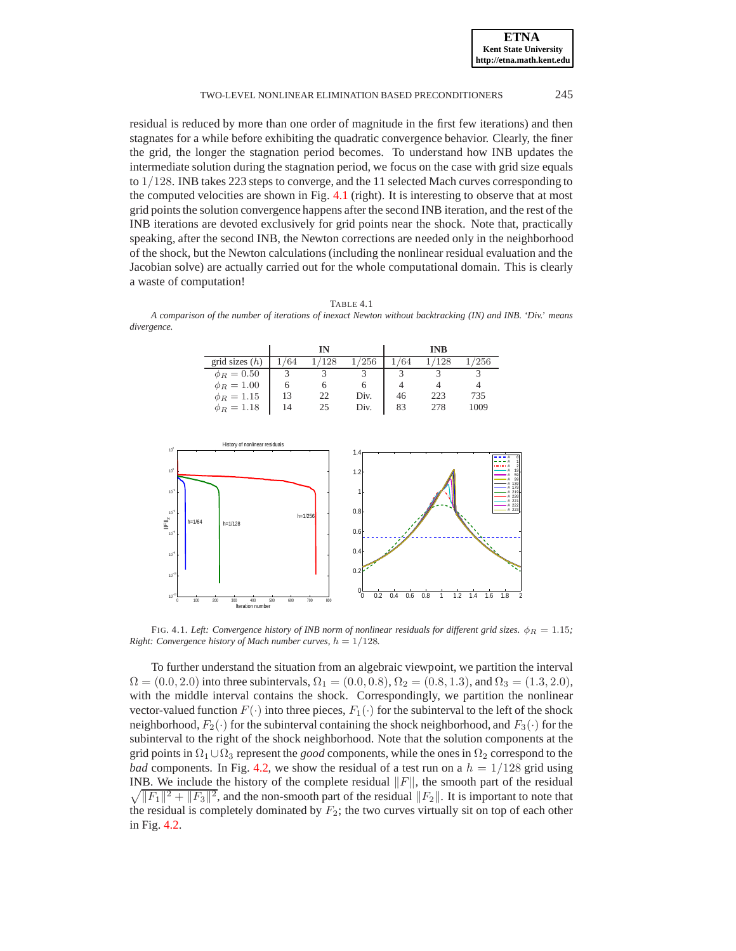**ETNA Kent State University http://etna.math.kent.edu**

### TWO-LEVEL NONLINEAR ELIMINATION BASED PRECONDITIONERS 245

residual is reduced by more than one order of magnitude in the first few iterations) and then stagnates for a while before exhibiting the quadratic convergence behavior. Clearly, the finer the grid, the longer the stagnation period becomes. To understand how INB updates the intermediate solution during the stagnation period, we focus on the case with grid size equals to 1/128. INB takes 223 steps to converge, and the 11 selected Mach curves corresponding to the computed velocities are shown in Fig. [4.1](#page-6-1) (right). It is interesting to observe that at most grid points the solution convergence happens after the second INB iteration, and the rest of the INB iterations are devoted exclusively for grid points near the shock. Note that, practically speaking, after the second INB, the Newton corrections are needed only in the neighborhood of the shock, but the Newton calculations (including the nonlinear residual evaluation and the Jacobian solve) are actually carried out for the whole computational domain. This is clearly a waste of computation!

<span id="page-6-0"></span>TABLE 4.1 *A comparison of the number of iterations of inexact Newton without backtracking (IN) and INB. 'Div.' means divergence.*

|                  |     | IN           |      |     | <b>INB</b> |                |
|------------------|-----|--------------|------|-----|------------|----------------|
| grid sizes $(h)$ | '64 | 128          | 256  | '64 | 128        | $^{\prime256}$ |
| $\phi_R = 0.50$  |     |              |      |     |            |                |
| $\phi_R = 1.00$  |     |              |      |     |            |                |
| $\phi_R = 1.15$  | 13  | $22^{\circ}$ | Div. | 46  | 223        | 735            |
| $\phi_R = 1.18$  | 14  | 25           | Div. | 83  | 278        | 1009           |



<span id="page-6-1"></span>FIG. 4.1. *Left: Convergence history of INB norm of nonlinear residuals for different grid sizes.*  $\phi_R = 1.15$ ; *Right: Convergence history of Mach number curves,*  $h = 1/128$ *.* 

To further understand the situation from an algebraic viewpoint, we partition the interval  $\Omega = (0.0, 2.0)$  into three subintervals,  $\Omega_1 = (0.0, 0.8), \Omega_2 = (0.8, 1.3)$ , and  $\Omega_3 = (1.3, 2.0)$ , with the middle interval contains the shock. Correspondingly, we partition the nonlinear vector-valued function  $F(\cdot)$  into three pieces,  $F_1(\cdot)$  for the subinterval to the left of the shock neighborhood,  $F_2(\cdot)$  for the subinterval containing the shock neighborhood, and  $F_3(\cdot)$  for the subinterval to the right of the shock neighborhood. Note that the solution components at the grid points in  $\Omega_1 \cup \Omega_3$  represent the *good* components, while the ones in  $\Omega_2$  correspond to the *bad* components. In Fig. [4.2,](#page-7-0) we show the residual of a test run on a  $h = 1/128$  grid using INB. We include the history of the complete residual  $\Vert F \Vert$ , the smooth part of the residual  $\sqrt{||F_1||^2 + ||F_3||^2}$ , and the non-smooth part of the residual  $||F_2||$ . It is important to note that the residual is completely dominated by  $F_2$ ; the two curves virtually sit on top of each other in Fig. [4.2.](#page-7-0)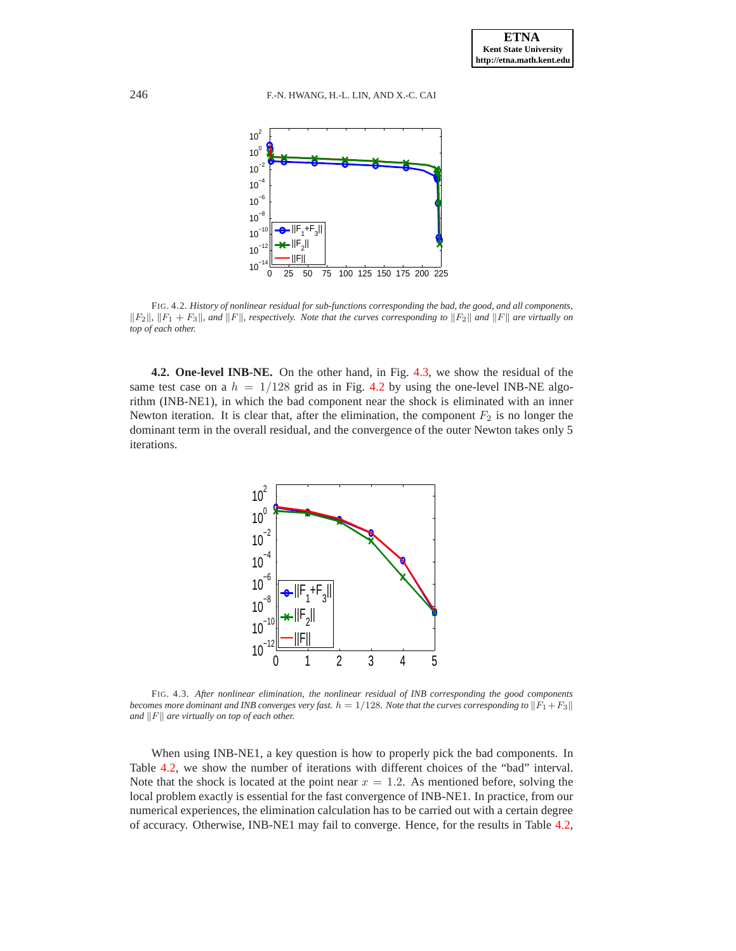

<span id="page-7-0"></span>FIG. 4.2. *History of nonlinear residual for sub-functions corresponding the bad, the good, and all components,*  $\|F_2\|$ ,  $\|F_1 + F_3\|$ , and  $\|F\|$ , respectively. Note that the curves corresponding to  $\|F_2\|$  and  $\|F\|$  are virtually on *top of each other.*

**4.2. One-level INB-NE.** On the other hand, in Fig. [4.3,](#page-7-1) we show the residual of the same test case on a  $h = 1/128$  grid as in Fig. [4.2](#page-7-0) by using the one-level INB-NE algorithm (INB-NE1), in which the bad component near the shock is eliminated with an inner Newton iteration. It is clear that, after the elimination, the component  $F_2$  is no longer the dominant term in the overall residual, and the convergence of the outer Newton takes only 5 iterations.



<span id="page-7-1"></span>FIG. 4.3. *After nonlinear elimination, the nonlinear residual of INB corresponding the good components becomes more dominant and INB converges very fast.*  $h = 1/128$ *. Note that the curves corresponding to*  $||F_1 + F_3||$ *and*  $||F||$  *are virtually on top of each other.* 

When using INB-NE1, a key question is how to properly pick the bad components. In Table [4.2,](#page-8-0) we show the number of iterations with different choices of the "bad" interval. Note that the shock is located at the point near  $x = 1.2$ . As mentioned before, solving the local problem exactly is essential for the fast convergence of INB-NE1. In practice, from our numerical experiences, the elimination calculation has to be carried out with a certain degree of accuracy. Otherwise, INB-NE1 may fail to converge. Hence, for the results in Table [4.2,](#page-8-0)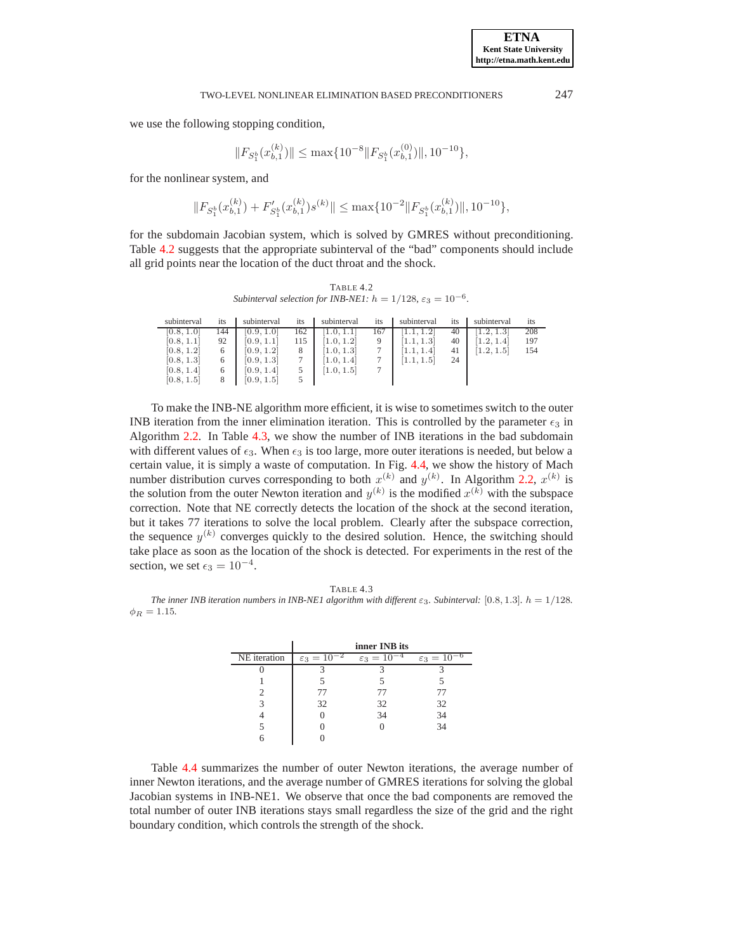we use the following stopping condition,

$$
||F_{S_1^b}(x_{b,1}^{(k)})|| \le \max\{10^{-8}||F_{S_1^b}(x_{b,1}^{(0)})||, 10^{-10}\},
$$

for the nonlinear system, and

$$
||F_{S_1^b}(x_{b,1}^{(k)}) + F'_{S_1^b}(x_{b,1}^{(k)})s^{(k)}|| \le \max\{10^{-2}||F_{S_1^b}(x_{b,1}^{(k)})||, 10^{-10}\},
$$

for the subdomain Jacobian system, which is solved by GMRES without preconditioning. Table [4.2](#page-8-0) suggests that the appropriate subinterval of the "bad" components should include all grid points near the location of the duct throat and the shock.

TABLE 4.2 *Subinterval selection for INB-NE1:*  $h = 1/128$ ,  $\varepsilon_3 = 10^{-6}$ .

<span id="page-8-0"></span>

| subinterval | 1ts | subinterval | 1ts | subinterval | its | subinterval | 1ts | subinterval | its |
|-------------|-----|-------------|-----|-------------|-----|-------------|-----|-------------|-----|
| [0.8, 1.0]  | 144 | [0.9, 1.0]  | 162 |             | 167 |             | 40  | 1.2.1.3     | 208 |
| [0.8, 1.1]  | 92  | [0.9, 1.1]  | 115 | 1.0.1.2     |     | 1.1.1.3     | 40  | 1.2.1.4     | 197 |
| [0.8, 1.2]  | 6   | [0.9, 1.2]  |     | 1.0, 1.3    |     | 1.1.1.4     | 41  | [1.2, 1.5]  | 154 |
| [0.8, 1.3]  | 6   | [0.9, 1.3]  |     | 1.0, 1.4    |     | 1.1, 1.5    | 24  |             |     |
| [0.8, 1.4]  | 6   | [0.9, 1.4]  |     | 1.0, 1.5    |     |             |     |             |     |
| [0.8, 1.5]  |     | [0.9, 1.5]  |     |             |     |             |     |             |     |

To make the INB-NE algorithm more efficient, it is wise to sometimes switch to the outer INB iteration from the inner elimination iteration. This is controlled by the parameter  $\epsilon_3$  in Algorithm [2.2.](#page-2-1) In Table [4.3,](#page-8-1) we show the number of INB iterations in the bad subdomain with different values of  $\epsilon_3$ . When  $\epsilon_3$  is too large, more outer iterations is needed, but below a certain value, it is simply a waste of computation. In Fig. [4.4,](#page-9-0) we show the history of Mach number distribution curves corresponding to both  $x^{(k)}$  and  $y^{(k)}$ . In Algorithm [2.2,](#page-2-1)  $x^{(k)}$  is the solution from the outer Newton iteration and  $y^{(k)}$  is the modified  $x^{(k)}$  with the subspace correction. Note that NE correctly detects the location of the shock at the second iteration, but it takes 77 iterations to solve the local problem. Clearly after the subspace correction, the sequence  $y^{(k)}$  converges quickly to the desired solution. Hence, the switching should take place as soon as the location of the shock is detected. For experiments in the rest of the section, we set  $\epsilon_3 = 10^{-4}$ .

<span id="page-8-1"></span>TABLE 4.3 *The inner INB iteration numbers in INB-NE1 algorithm with different* ε3*. Subinterval:* [0.8, 1.3]*.* h = 1/128*.*  $\phi_R = 1.15$ .

|              | inner INB its             |                           |                           |  |
|--------------|---------------------------|---------------------------|---------------------------|--|
| NE iteration | $\varepsilon_3 = 10^{-2}$ | $\varepsilon_3 = 10^{-4}$ | $\varepsilon_3 = 10^{-6}$ |  |
|              |                           |                           |                           |  |
|              |                           |                           |                           |  |
|              | 77                        | $\top$                    | ΓI                        |  |
|              | 32                        | 32                        | 32                        |  |
|              |                           | 34                        | 34                        |  |
|              |                           |                           | 34                        |  |
|              |                           |                           |                           |  |

Table [4.4](#page-9-1) summarizes the number of outer Newton iterations, the average number of inner Newton iterations, and the average number of GMRES iterations for solving the global Jacobian systems in INB-NE1. We observe that once the bad components are removed the total number of outer INB iterations stays small regardless the size of the grid and the right boundary condition, which controls the strength of the shock.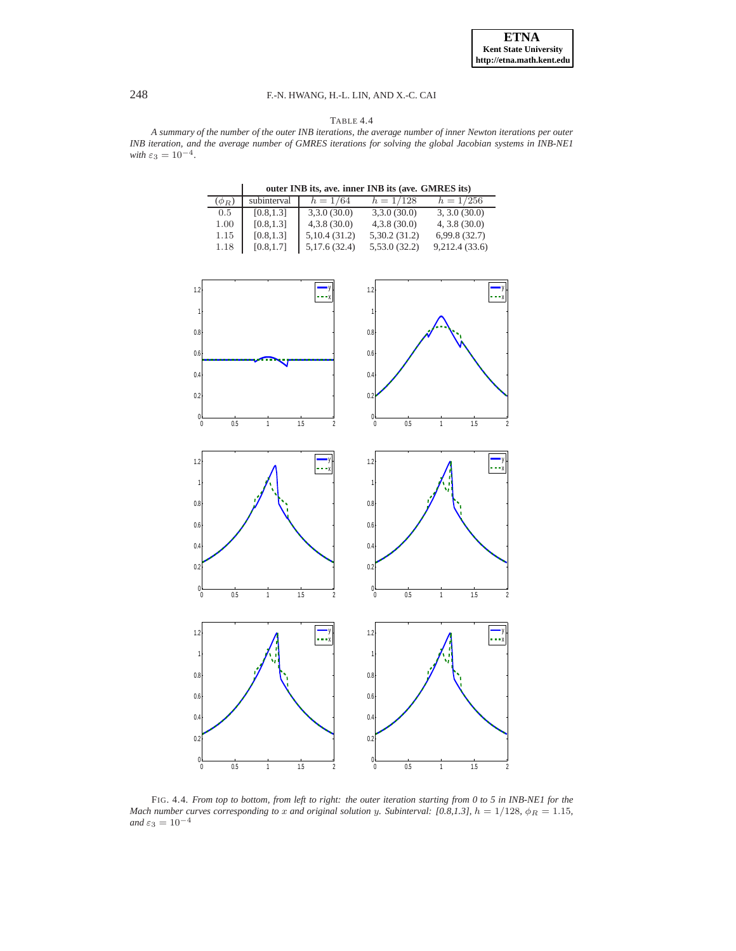# 248 F.-N. HWANG, H.-L. LIN, AND X.-C. CAI

### TABLE 4.4

<span id="page-9-1"></span>*A summary of the number of the outer INB iterations, the average number of inner Newton iterations per outer INB iteration, and the average number of GMRES iterations for solving the global Jacobian systems in INB-NE1 with*  $\varepsilon_3 = 10^{-4}$ .

**outer INB its, ave. inner INB its (ave. GMRES its)**

|            | outer INB its, ave. inner INB its (ave. GMRES its) |              |              |                 |  |  |
|------------|----------------------------------------------------|--------------|--------------|-----------------|--|--|
| $(\phi_R)$ | subinterval                                        | $h = 1/64$   | $h = 1/128$  | $h = 1/256$     |  |  |
| 0.5        | [0.8, 1.3]                                         | 3,3.0(30.0)  | 3,3.0(30.0)  | 3, 3.0 (30.0)   |  |  |
| 1.00       | [0.8, 1.3]                                         | 4,3.8(30.0)  | 4,3.8(30.0)  | $4, 3.8$ (30.0) |  |  |
| 1.15       | [0.8, 1.3]                                         | 5,10.4(31.2) | 5,30.2(31.2) | 6,99.8(32.7)    |  |  |
| 1.18       | [0.8, 1.7]                                         | 5,17.6(32.4) | 5,53.0(32.2) | 9,212.4(33.6)   |  |  |



<span id="page-9-0"></span>FIG. 4.4. *From top to bottom, from left to right: the outer iteration starting from 0 to 5 in INB-NE1 for the Mach number curves corresponding to* x *and original solution* y. Subinterval: [0.8,1.3],  $h = 1/128$ ,  $\phi_R = 1.15$ , *and*  $\varepsilon_3 = 10^{-4}$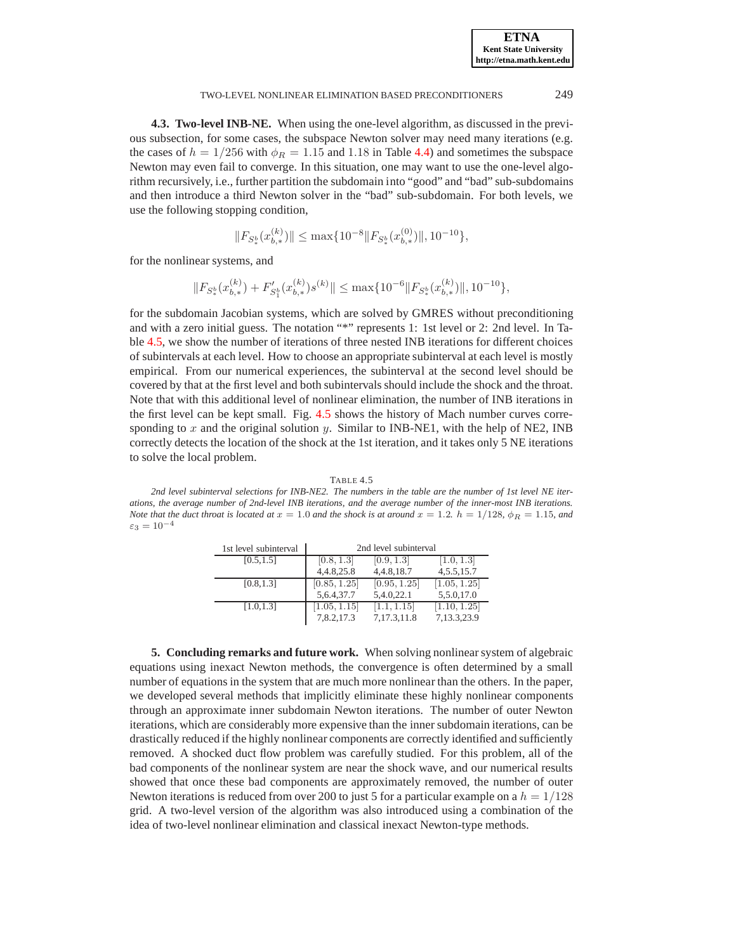### TWO-LEVEL NONLINEAR ELIMINATION BASED PRECONDITIONERS 249

**4.3. Two-level INB-NE.** When using the one-level algorithm, as discussed in the previous subsection, for some cases, the subspace Newton solver may need many iterations (e.g. the cases of  $h = 1/256$  with  $\phi_R = 1.15$  and 1.18 in Table [4.4\)](#page-9-1) and sometimes the subspace Newton may even fail to converge. In this situation, one may want to use the one-level algorithm recursively, i.e., further partition the subdomain into "good" and "bad" sub-subdomains and then introduce a third Newton solver in the "bad" sub-subdomain. For both levels, we use the following stopping condition,

$$
||F_{S_*^b}(x_{b,*}^{(k)})|| \le \max\{10^{-8}||F_{S_*^b}(x_{b,*}^{(0)})||, 10^{-10}\},
$$

for the nonlinear systems, and

$$
\|F_{S^b_*}(x_{b,*}^{(k)})+F'_{S^b_1}(x_{b,*}^{(k)})s^{(k)}\|\leq \max\{10^{-6}\|F_{S^b_*}(x_{b,*}^{(k)})\|,10^{-10}\},
$$

for the subdomain Jacobian systems, which are solved by GMRES without preconditioning and with a zero initial guess. The notation "\*" represents 1: 1st level or 2: 2nd level. In Table [4.5,](#page-10-1) we show the number of iterations of three nested INB iterations for different choices of subintervals at each level. How to choose an appropriate subinterval at each level is mostly empirical. From our numerical experiences, the subinterval at the second level should be covered by that at the first level and both subintervals should include the shock and the throat. Note that with this additional level of nonlinear elimination, the number of INB iterations in the first level can be kept small. Fig. [4.5](#page-11-0) shows the history of Mach number curves corresponding to  $x$  and the original solution  $y$ . Similar to INB-NE1, with the help of NE2, INB correctly detects the location of the shock at the 1st iteration, and it takes only 5 NE iterations to solve the local problem.

TABLE 4.5

<span id="page-10-1"></span>*2nd level subinterval selections for INB-NE2. The numbers in the table are the number of 1st level NE iterations, the average number of 2nd-level INB iterations, and the average number of the inner-most INB iterations. Note that the duct throat is located at*  $x = 1.0$  *and the shock is at around*  $x = 1.2$ *.*  $h = 1/128$ *,*  $\phi_R = 1.15$ *, and*  $\varepsilon_3 = 10^{-4}$ 

| 1st level subinterval | 2nd level subinterval |              |                |  |
|-----------------------|-----------------------|--------------|----------------|--|
| [0.5, 1.5]            | [0.8, 1.3]            | [0.9, 1.3]   | [1.0, 1.3]     |  |
|                       | 4, 4.8, 25.8          | 4,4.8,18.7   | 4, 5. 5, 15. 7 |  |
| [0.8, 1.3]            | [0.85, 1.25]          | [0.95, 1.25] | [1.05, 1.25]   |  |
|                       | 5,6.4,37.7            | 5,4.0,22.1   | 5,5.0,17.0     |  |
| [1.0, 1.3]            | [1.05, 1.15]          | [1.1, 1.15]  | [1.10, 1.25]   |  |
|                       | 7,8.2,17.3            | 7,17.3,11.8  | 7,13.3,23.9    |  |

<span id="page-10-0"></span>**5. Concluding remarks and future work.** When solving nonlinear system of algebraic equations using inexact Newton methods, the convergence is often determined by a small number of equations in the system that are much more nonlinear than the others. In the paper, we developed several methods that implicitly eliminate these highly nonlinear components through an approximate inner subdomain Newton iterations. The number of outer Newton iterations, which are considerably more expensive than the inner subdomain iterations, can be drastically reduced if the highly nonlinear components are correctly identified and sufficiently removed. A shocked duct flow problem was carefully studied. For this problem, all of the bad components of the nonlinear system are near the shock wave, and our numerical results showed that once these bad components are approximately removed, the number of outer Newton iterations is reduced from over 200 to just 5 for a particular example on a  $h = 1/128$ grid. A two-level version of the algorithm was also introduced using a combination of the idea of two-level nonlinear elimination and classical inexact Newton-type methods.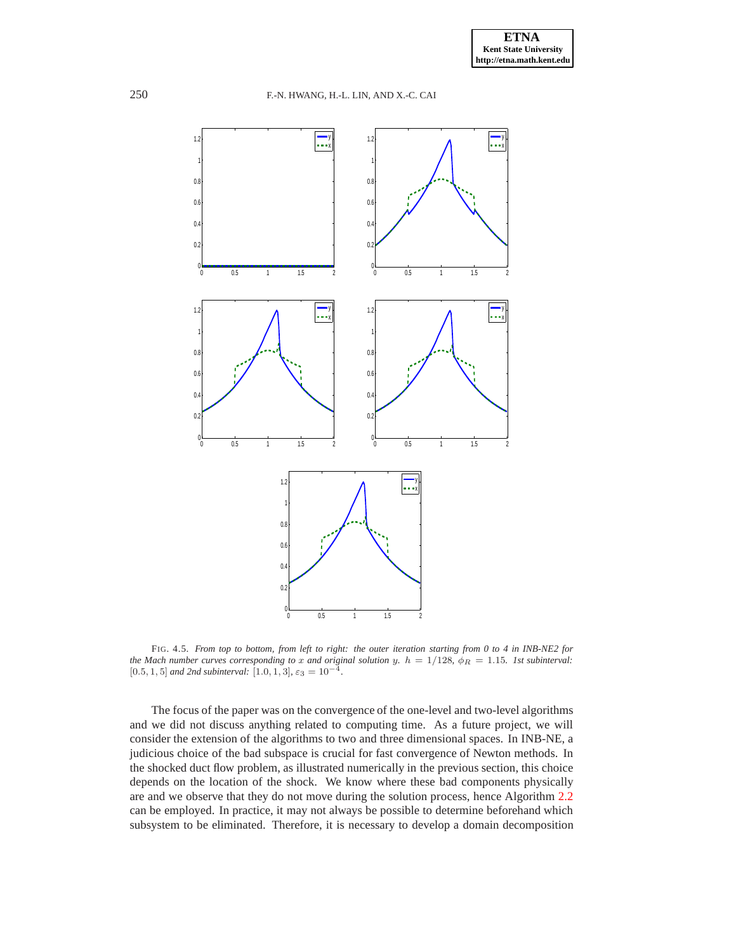

<span id="page-11-0"></span>FIG. 4.5. *From top to bottom, from left to right: the outer iteration starting from 0 to 4 in INB-NE2 for the Mach number curves corresponding to* x *and original solution* y*.*  $h = 1/128$ ,  $\phi_R = 1.15$ *. Ist subinterval:* [0.5, 1, 5] *and 2nd subinterval:* [1.0, 1, 3],  $\varepsilon_3 = 10^{-4}$ *.* 

The focus of the paper was on the convergence of the one-level and two-level algorithms and we did not discuss anything related to computing time. As a future project, we will consider the extension of the algorithms to two and three dimensional spaces. In INB-NE, a judicious choice of the bad subspace is crucial for fast convergence of Newton methods. In the shocked duct flow problem, as illustrated numerically in the previous section, this choice depends on the location of the shock. We know where these bad components physically are and we observe that they do not move during the solution process, hence Algorithm [2.2](#page-2-1) can be employed. In practice, it may not always be possible to determine beforehand which subsystem to be eliminated. Therefore, it is necessary to develop a domain decomposition